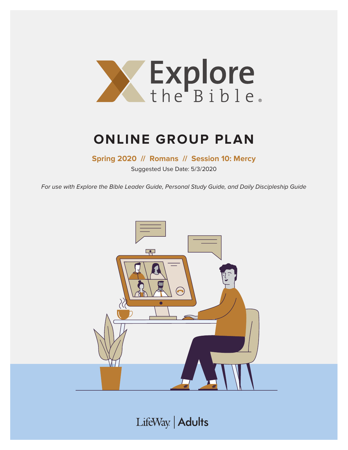

# **ONLINE GROUP PLAN**

**Spring 2020 // Romans // Session 10: Mercy**

Suggested Use Date: 5/3/2020

For use with Explore the Bible Leader Guide, Personal Study Guide, and Daily Discipleship Guide



LifeWay | Adults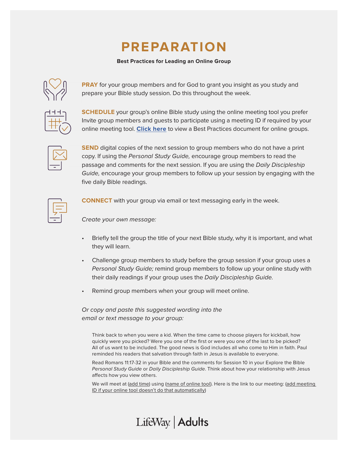# **PREPARATION**

#### **Best Practices for Leading an Online Group**



**PRAY** for your group members and for God to grant you insight as you study and prepare your Bible study session. Do this throughout the week.

**SCHEDULE** your group's online Bible study using the online meeting tool you prefer Invite group members and guests to participate using a meeting ID if required by your online meeting tool. **[Click here](https://s3.amazonaws.com/LWbranding/bsfl2019/2020/04/Online_Bible_Study_Best_Practices.pdf)** to view a Best Practices document for online groups.



**SEND** digital copies of the next session to group members who do not have a print copy. If using the Personal Study Guide, encourage group members to read the passage and comments for the next session. If you are using the Daily Discipleship Guide, encourage your group members to follow up your session by engaging with the five daily Bible readings.



**CONNECT** with your group via email or text messaging early in the week.

Create your own message:

- Briefly tell the group the title of your next Bible study, why it is important, and what they will learn.
- Challenge group members to study before the group session if your group uses a Personal Study Guide; remind group members to follow up your online study with their daily readings if your group uses the Daily Discipleship Guide.
- Remind group members when your group will meet online.

LifeWay | Adults

Or copy and paste this suggested wording into the email or text message to your group:

Think back to when you were a kid. When the time came to choose players for kickball, how quickly were you picked? Were you one of the first or were you one of the last to be picked? All of us want to be included. The good news is God includes all who come to Him in faith. Paul reminded his readers that salvation through faith in Jesus is available to everyone.

Read Romans 11:17-32 in your Bible and the comments for Session 10 in your Explore the Bible Personal Study Guide or Daily Discipleship Guide. Think about how your relationship with Jesus affects how you view others.

We will meet at (add time) using (name of online tool). Here is the link to our meeting: (add meeting ID if your online tool doesn't do that automatically)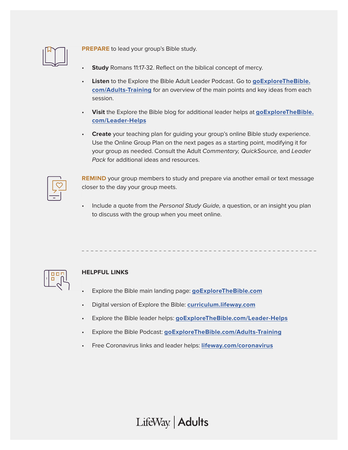

**PREPARE** to lead your group's Bible study.

- **Study** Romans 11:17-32. Reflect on the biblical concept of mercy.
- **Listen** to the Explore the Bible Adult Leader Podcast. Go to **[goExploreTheBible.](https://goexplorethebible.com/adults-training/) [com/Adults-Training](https://goexplorethebible.com/adults-training/)** for an overview of the main points and key ideas from each session.
- **Visit** the Explore the Bible blog for additional leader helps at **[goExploreTheBible.](https://goexplorethebible.com/blog/) [com/L](https://goexplorethebible.com/blog/)eader-Helps**
- **Create** your teaching plan for guiding your group's online Bible study experience. Use the Online Group Plan on the next pages as a starting point, modifying it for your group as needed. Consult the Adult Commentary, QuickSource, and Leader Pack for additional ideas and resources.

**REMIND** your group members to study and prepare via another email or text message closer to the day your group meets.

Include a quote from the Personal Study Guide, a question, or an insight you plan to discuss with the group when you meet online.



### **HELPFUL LINKS**

- Explore the Bible main landing page: **[goExploreTheBible.com](https://goexplorethebible.com/)**
- Digital version of Explore the Bible: **[curriculum.lifeway.com](https://curriculum.lifeway.com/#/)**
- Explore the Bible leader helps: **[goExploreTheBible.com/L](https://goexplorethebible.com/blog/)eader-Helps**
- Explore the Bible Podcast: **[goExploreTheBible.com/Adults-Training](https://goexplorethebible.com/adults-training/)**
- Free Coronavirus links and leader helps: **[lifeway.com/coronavirus](https://www.lifeway.com/coronavirus)**

LifeWay | Adults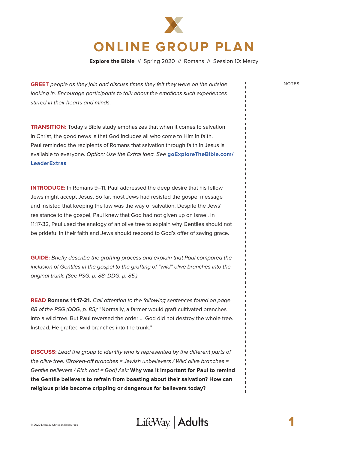

**Explore the Bible** // Spring 2020 // Romans // Session 10: Mercy

**GREET** people as they join and discuss times they felt they were on the outside NOTES looking in. Encourage participants to talk about the emotions such experiences stirred in their hearts and minds.

**TRANSITION:** Today's Bible study emphasizes that when it comes to salvation in Christ, the good news is that God includes all who come to Him in faith. Paul reminded the recipients of Romans that salvation through faith in Jesus is available to everyone. Option: Use the Extra! idea. See **[goExploreTheBible.com/](https://goexplorethebible.com/leaderextras/) [LeaderExtras](https://goexplorethebible.com/leaderextras/)**

**INTRODUCE:** In Romans 9–11, Paul addressed the deep desire that his fellow Jews might accept Jesus. So far, most Jews had resisted the gospel message and insisted that keeping the law was the way of salvation. Despite the Jews' resistance to the gospel, Paul knew that God had not given up on Israel. In 11:17-32, Paul used the analogy of an olive tree to explain why Gentiles should not be prideful in their faith and Jews should respond to God's offer of saving grace.

**GUIDE:** Briefly describe the grafting process and explain that Paul compared the inclusion of Gentiles in the gospel to the grafting of "wild" olive branches into the original trunk. (See PSG, p. 88; DDG, p. 85.)

**READ Romans 11:17-21.** Call attention to the following sentences found on page 88 of the PSG (DDG, p. 85): "Normally, a farmer would graft cultivated branches into a wild tree. But Paul reversed the order … God did not destroy the whole tree. Instead, He grafted wild branches into the trunk."

**DISCUSS:** Lead the group to identify who is represented by the different parts of the olive tree. [Broken-off branches = Jewish unbelievers / Wild olive branches = Gentile believers / Rich root = God] Ask: **Why was it important for Paul to remind the Gentile believers to refrain from boasting about their salvation? How can religious pride become crippling or dangerous for believers today?**

### © 2020 LifeWay Christian Resources **1**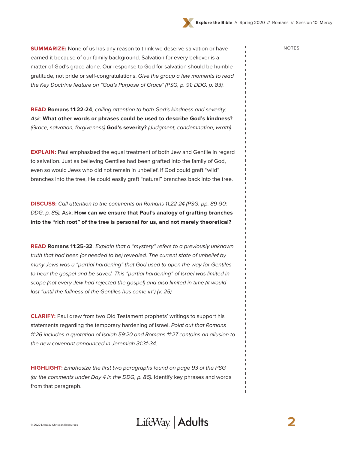

**SUMMARIZE:** None of us has any reason to think we deserve salvation or have  $\frac{1}{2}$  NOTES earned it because of our family background. Salvation for every believer is a matter of God's grace alone. Our response to God for salvation should be humble gratitude, not pride or self-congratulations. Give the group a few moments to read the Key Doctrine feature on "God's Purpose of Grace" (PSG, p. 91; DDG, p. 83).

**READ Romans 11:22-24**, calling attention to both God's kindness and severity. Ask: **What other words or phrases could be used to describe God's kindness?** (Grace, salvation, forgiveness) **God's severity?** (Judgment, condemnation, wrath)

**EXPLAIN:** Paul emphasized the equal treatment of both Jew and Gentile in regard to salvation. Just as believing Gentiles had been grafted into the family of God, even so would Jews who did not remain in unbelief. If God could graft "wild" branches into the tree, He could easily graft "natural" branches back into the tree.

**DISCUSS:** Call attention to the comments on Romans 11:22-24 (PSG, pp. 89-90; DDG, p. 85). Ask: **How can we ensure that Paul's analogy of grafting branches into the "rich root" of the tree is personal for us, and not merely theoretical?** 

**READ Romans 11:25-32**. Explain that a "mystery" refers to a previously unknown truth that had been (or needed to be) revealed. The current state of unbelief by many Jews was a "partial hardening" that God used to open the way for Gentiles to hear the gospel and be saved. This "partial hardening" of Israel was limited in scope (not every Jew had rejected the gospel) and also limited in time (it would last "until the fullness of the Gentiles has come in") (v. 25).

**CLARIFY:** Paul drew from two Old Testament prophets' writings to support his statements regarding the temporary hardening of Israel. Point out that Romans 11:26 includes a quotation of Isaiah 59:20 and Romans 11:27 contains an allusion to the new covenant announced in Jeremiah 31:31-34.

**HIGHLIGHT:** Emphasize the first two paragraphs found on page 93 of the PSG (or the comments under Day 4 in the DDG, p. 86). Identify key phrases and words from that paragraph.